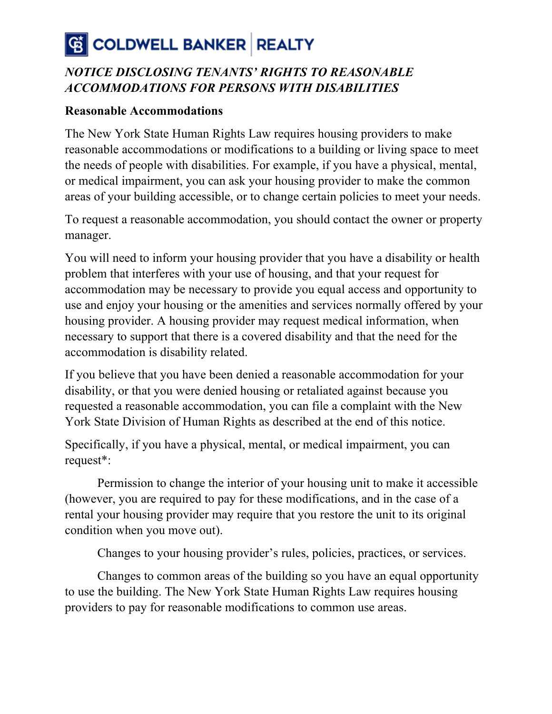## C COLDWELL BANKER REALTY

### *NOTICE DISCLOSING TENANTS' RIGHTS TO REASONABLE ACCOMMODATIONS FOR PERSONS WITH DISABILITIES*

#### **Reasonable Accommodations**

The New York State Human Rights Law requires housing providers to make reasonable accommodations or modifications to a building or living space to meet the needs of people with disabilities. For example, if you have a physical, mental, or medical impairment, you can ask your housing provider to make the common areas of your building accessible, or to change certain policies to meet your needs.

To request a reasonable accommodation, you should contact the owner or property manager.

You will need to inform your housing provider that you have a disability or health problem that interferes with your use of housing, and that your request for accommodation may be necessary to provide you equal access and opportunity to use and enjoy your housing or the amenities and services normally offered by your housing provider. A housing provider may request medical information, when necessary to support that there is a covered disability and that the need for the accommodation is disability related.

If you believe that you have been denied a reasonable accommodation for your disability, or that you were denied housing or retaliated against because you requested a reasonable accommodation, you can file a complaint with the New York State Division of Human Rights as described at the end of this notice.

Specifically, if you have a physical, mental, or medical impairment, you can request\*:

Permission to change the interior of your housing unit to make it accessible (however, you are required to pay for these modifications, and in the case of a rental your housing provider may require that you restore the unit to its original condition when you move out).

Changes to your housing provider's rules, policies, practices, or services.

Changes to common areas of the building so you have an equal opportunity to use the building. The New York State Human Rights Law requires housing providers to pay for reasonable modifications to common use areas.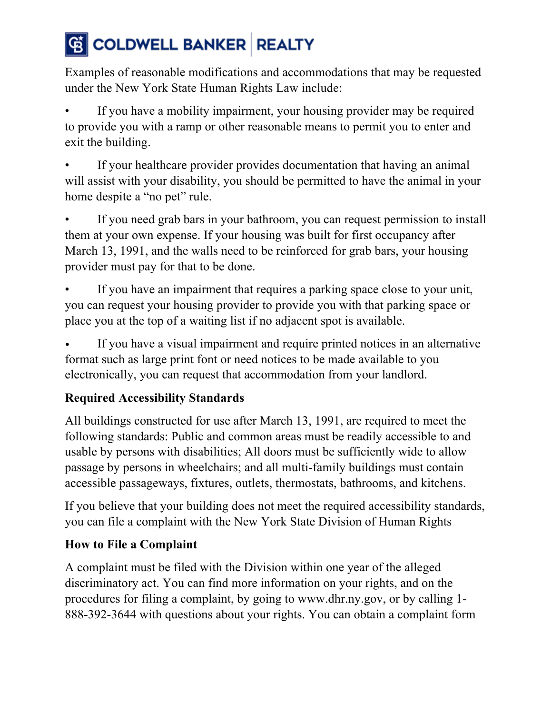# C COLDWELL BANKER REALTY

Examples of reasonable modifications and accommodations that may be requested under the New York State Human Rights Law include:

If you have a mobility impairment, your housing provider may be required to provide you with a ramp or other reasonable means to permit you to enter and exit the building.

If your healthcare provider provides documentation that having an animal will assist with your disability, you should be permitted to have the animal in your home despite a "no pet" rule.

If you need grab bars in your bathroom, you can request permission to install them at your own expense. If your housing was built for first occupancy after March 13, 1991, and the walls need to be reinforced for grab bars, your housing provider must pay for that to be done.

If you have an impairment that requires a parking space close to your unit, you can request your housing provider to provide you with that parking space or place you at the top of a waiting list if no adjacent spot is available.

If you have a visual impairment and require printed notices in an alternative format such as large print font or need notices to be made available to you electronically, you can request that accommodation from your landlord.

### **Required Accessibility Standards**

All buildings constructed for use after March 13, 1991, are required to meet the following standards: Public and common areas must be readily accessible to and usable by persons with disabilities; All doors must be sufficiently wide to allow passage by persons in wheelchairs; and all multi-family buildings must contain accessible passageways, fixtures, outlets, thermostats, bathrooms, and kitchens.

If you believe that your building does not meet the required accessibility standards, you can file a complaint with the New York State Division of Human Rights

### **How to File a Complaint**

A complaint must be filed with the Division within one year of the alleged discriminatory act. You can find more information on your rights, and on the procedures for filing a complaint, by going to www.dhr.ny.gov, or by calling 1- 888-392-3644 with questions about your rights. You can obtain a complaint form